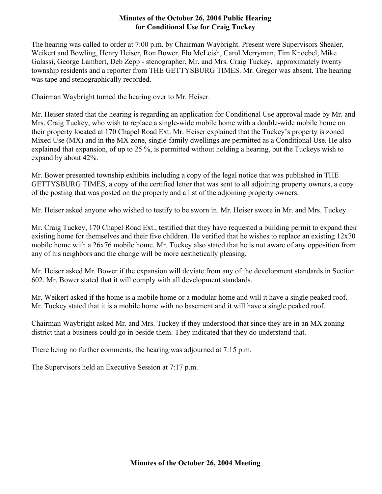# **Minutes of the October 26, 2004 Public Hearing for Conditional Use for Craig Tuckey**

The hearing was called to order at 7:00 p.m. by Chairman Waybright. Present were Supervisors Shealer, Weikert and Bowling, Henry Heiser, Ron Bower, Flo McLeish, Carol Merryman, Tim Knoebel, Mike Galassi, George Lambert, Deb Zepp - stenographer, Mr. and Mrs. Craig Tuckey, approximately twenty township residents and a reporter from THE GETTYSBURG TIMES. Mr. Gregor was absent. The hearing was tape and stenographically recorded.

Chairman Waybright turned the hearing over to Mr. Heiser.

Mr. Heiser stated that the hearing is regarding an application for Conditional Use approval made by Mr. and Mrs. Craig Tuckey, who wish to replace a single-wide mobile home with a double-wide mobile home on their property located at 170 Chapel Road Ext. Mr. Heiser explained that the Tuckey's property is zoned Mixed Use (MX) and in the MX zone, single-family dwellings are permitted as a Conditional Use. He also explained that expansion, of up to 25 %, is permitted without holding a hearing, but the Tuckeys wish to expand by about 42%.

Mr. Bower presented township exhibits including a copy of the legal notice that was published in THE GETTYSBURG TIMES, a copy of the certified letter that was sent to all adjoining property owners, a copy of the posting that was posted on the property and a list of the adjoining property owners.

Mr. Heiser asked anyone who wished to testify to be sworn in. Mr. Heiser swore in Mr. and Mrs. Tuckey.

Mr. Craig Tuckey, 170 Chapel Road Ext., testified that they have requested a building permit to expand their existing home for themselves and their five children. He verified that he wishes to replace an existing 12x70 mobile home with a 26x76 mobile home. Mr. Tuckey also stated that he is not aware of any opposition from any of his neighbors and the change will be more aesthetically pleasing.

Mr. Heiser asked Mr. Bower if the expansion will deviate from any of the development standards in Section 602. Mr. Bower stated that it will comply with all development standards.

Mr. Weikert asked if the home is a mobile home or a modular home and will it have a single peaked roof. Mr. Tuckey stated that it is a mobile home with no basement and it will have a single peaked roof.

Chairman Waybright asked Mr. and Mrs. Tuckey if they understood that since they are in an MX zoning district that a business could go in beside them. They indicated that they do understand that.

There being no further comments, the hearing was adjourned at 7:15 p.m.

The Supervisors held an Executive Session at 7:17 p.m.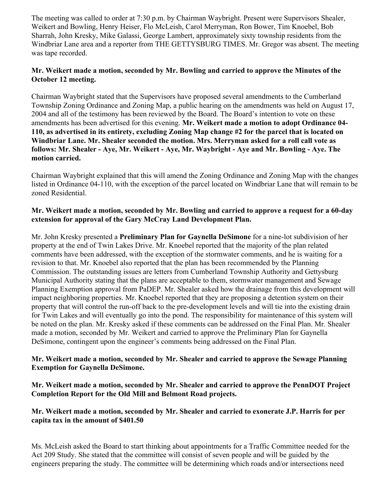The meeting was called to order at 7:30 p.m. by Chairman Waybright. Present were Supervisors Shealer, Weikert and Bowling, Henry Heiser, Flo McLeish, Carol Merryman, Ron Bower, Tim Knoebel, Bob Sharrah, John Kresky, Mike Galassi, George Lambert, approximately sixty township residents from the Windbriar Lane area and a reporter from THE GETTYSBURG TIMES. Mr. Gregor was absent. The meeting was tape recorded.

# **Mr. Weikert made a motion, seconded by Mr. Bowling and carried to approve the Minutes of the October 12 meeting.**

Chairman Waybright stated that the Supervisors have proposed several amendments to the Cumberland Township Zoning Ordinance and Zoning Map, a public hearing on the amendments was held on August 17, 2004 and all of the testimony has been reviewed by the Board. The Board's intention to vote on these amendments has been advertised for this evening. **Mr. Weikert made a motion to adopt Ordinance 04- 110, as advertised in its entirety, excluding Zoning Map change #2 for the parcel that is located on Windbriar Lane. Mr. Shealer seconded the motion. Mrs. Merryman asked for a roll call vote as follows: Mr. Shealer - Aye, Mr. Weikert - Aye, Mr. Waybright - Aye and Mr. Bowling - Aye. The motion carried.**

Chairman Waybright explained that this will amend the Zoning Ordinance and Zoning Map with the changes listed in Ordinance 04-110, with the exception of the parcel located on Windbriar Lane that will remain to be zoned Residential.

# **Mr. Weikert made a motion, seconded by Mr. Bowling and carried to approve a request for a 60-day extension for approval of the Gary McCray Land Development Plan.**

Mr. John Kresky presented a **Preliminary Plan for Gaynella DeSimone** for a nine-lot subdivision of her property at the end of Twin Lakes Drive. Mr. Knoebel reported that the majority of the plan related comments have been addressed, with the exception of the stormwater comments, and he is waiting for a revision to that. Mr. Knoebel also reported that the plan has been recommended by the Planning Commission. The outstanding issues are letters from Cumberland Township Authority and Gettysburg Municipal Authority stating that the plans are acceptable to them, stormwater management and Sewage Planning Exemption approval from PaDEP. Mr. Shealer asked how the drainage from this development will impact neighboring properties. Mr. Knoebel reported that they are proposing a detention system on their property that will control the run-off back to the pre-development levels and will tie into the existing drain for Twin Lakes and will eventually go into the pond. The responsibility for maintenance of this system will be noted on the plan. Mr. Kresky asked if these comments can be addressed on the Final Plan. Mr. Shealer made a motion, seconded by Mr. Weikert and carried to approve the Preliminary Plan for Gaynella DeSimone, contingent upon the engineer's comments being addressed on the Final Plan.

### **Mr. Weikert made a motion, seconded by Mr. Shealer and carried to approve the Sewage Planning Exemption for Gaynella DeSimone.**

### **Mr. Weikert made a motion, seconded by Mr. Shealer and carried to approve the PennDOT Project Completion Report for the Old Mill and Belmont Road projects.**

### **Mr. Weikert made a motion, seconded by Mr. Shealer and carried to exonerate J.P. Harris for per capita tax in the amount of \$401.50**

Ms. McLeish asked the Board to start thinking about appointments for a Traffic Committee needed for the Act 209 Study. She stated that the committee will consist of seven people and will be guided by the engineers preparing the study. The committee will be determining which roads and/or intersections need